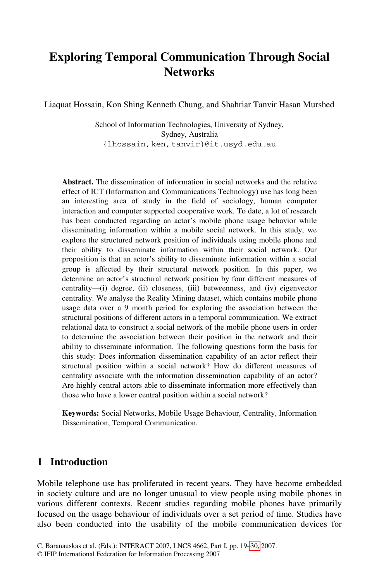# **Exploring Temporal Communication Through Social Networks**

Liaquat Hossain, Kon Shing Kenneth Chung, and Shahriar Tanvir Hasan Murshed

School of Information Technologies, University of Sydney, Sydney, Australia {lhossain,ken,tanvir}@it.usyd.edu.au

**Abstract.** The dissemination of information in social networks and the relative effect of ICT (Information and Communications Technology) use has long been an interesting area of study in the field of sociology, human computer interaction and computer supported cooperative work. To date, a lot of research has been conducted regarding an actor's mobile phone usage behavior while disseminating information within a mobile social network. In this study, we explore the structured network position of individuals using mobile phone and their ability to disseminate information within their social network. Our proposition is that an actor's ability to disseminate information within a social group is affected by their structural network position. In this paper, we determine an actor's structural network position by four different measures of centrality—(i) degree, (ii) closeness, (iii) betweenness, and (iv) eigenvector centrality. We analyse the Reality Mining dataset, which contains mobile phone usage data over a 9 month period for exploring the association between the structural positions of different actors in a temporal communication. We extract relational data to construct a social network of the mobile phone users in order to determine the association between their position in the network and their ability to disseminate information. The following questions form the basis for this study: Does information dissemination capability of an actor reflect their structural position within a social network? How do different measures of centrality associate with the information dissemination capability of an actor? Are highly central actors able to disseminate information more effectively than those who have a lower central position within a social network?

**Keywords:** Social Networks, Mobile Usage Behaviour, Centrality, Information Dissemination, Temporal Communication.

## **1 Introduction**

Mobile telephone use has proliferated in recent years. They have become embedded in society culture and are no longer unusual to view people using mobile phones in various different contexts. Recent studies regarding mobile phones have primarily focused on the usage behaviour of individuals over a set period of time. Studies have also been conducted into the usability of the mobile communication devices for

© IFIP International Federation for Information Processing 2007

C. Baranauskas et al. (Eds.): INTERACT 2007, LNCS 4662, Part I, pp. 19[–30,](#page-11-0) 2007.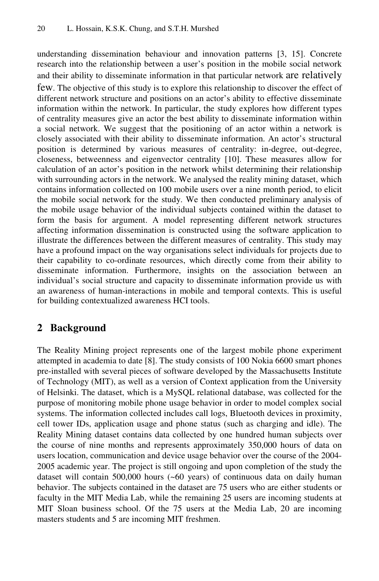understanding dissemination behaviour and innovation patterns [3, 15]. Concrete research into the relationship between a user's position in the mobile social network and their ability to disseminate information in that particular network are relatively few. The objective of this study is to explore this relationship to discover the effect of different network structure and positions on an actor's ability to effective disseminate information within the network. In particular, the study explores how different types of centrality measures give an actor the best ability to disseminate information within a social network. We suggest that the positioning of an actor within a network is closely associated with their ability to disseminate information. An actor's structural position is determined by various measures of centrality: in-degree, out-degree, closeness, betweenness and eigenvector centrality [10]. These measures allow for calculation of an actor's position in the network whilst determining their relationship with surrounding actors in the network. We analysed the reality mining dataset, which contains information collected on 100 mobile users over a nine month period, to elicit the mobile social network for the study. We then conducted preliminary analysis of the mobile usage behavior of the individual subjects contained within the dataset to form the basis for argument. A model representing different network structures affecting information dissemination is constructed using the software application to illustrate the differences between the different measures of centrality. This study may have a profound impact on the way organisations select individuals for projects due to their capability to co-ordinate resources, which directly come from their ability to disseminate information. Furthermore, insights on the association between an individual's social structure and capacity to disseminate information provide us with an awareness of human-interactions in mobile and temporal contexts. This is useful for building contextualized awareness HCI tools.

# **2 Background**

The Reality Mining project represents one of the largest mobile phone experiment attempted in academia to date [8]. The study consists of 100 Nokia 6600 smart phones pre-installed with several pieces of software developed by the Massachusetts Institute of Technology (MIT), as well as a version of Context application from the University of Helsinki. The dataset, which is a MySQL relational database, was collected for the purpose of monitoring mobile phone usage behavior in order to model complex social systems. The information collected includes call logs, Bluetooth devices in proximity, cell tower IDs, application usage and phone status (such as charging and idle). The Reality Mining dataset contains data collected by one hundred human subjects over the course of nine months and represents approximately 350,000 hours of data on users location, communication and device usage behavior over the course of the 2004- 2005 academic year. The project is still ongoing and upon completion of the study the dataset will contain 500,000 hours  $(-60 \text{ years})$  of continuous data on daily human behavior. The subjects contained in the dataset are 75 users who are either students or faculty in the MIT Media Lab, while the remaining 25 users are incoming students at MIT Sloan business school. Of the 75 users at the Media Lab, 20 are incoming masters students and 5 are incoming MIT freshmen.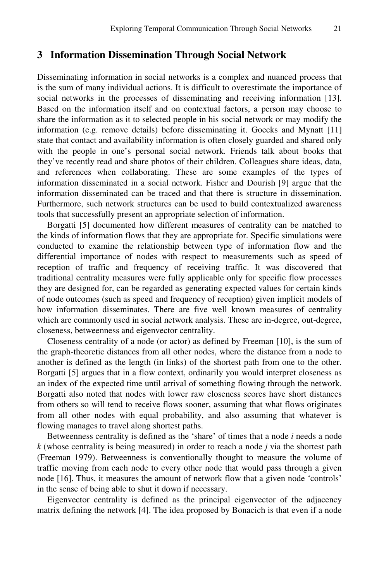#### **3 Information Dissemination Through Social Network**

Disseminating information in social networks is a complex and nuanced process that is the sum of many individual actions. It is difficult to overestimate the importance of social networks in the processes of disseminating and receiving information [13]. Based on the information itself and on contextual factors, a person may choose to share the information as it to selected people in his social network or may modify the information (e.g. remove details) before disseminating it. Goecks and Mynatt [11] state that contact and availability information is often closely guarded and shared only with the people in one's personal social network. Friends talk about books that they've recently read and share photos of their children. Colleagues share ideas, data, and references when collaborating. These are some examples of the types of information disseminated in a social network. Fisher and Dourish [9] argue that the information disseminated can be traced and that there is structure in dissemination. Furthermore, such network structures can be used to build contextualized awareness tools that successfully present an appropriate selection of information.

Borgatti [5] documented how different measures of centrality can be matched to the kinds of information flows that they are appropriate for. Specific simulations were conducted to examine the relationship between type of information flow and the differential importance of nodes with respect to measurements such as speed of reception of traffic and frequency of receiving traffic. It was discovered that traditional centrality measures were fully applicable only for specific flow processes they are designed for, can be regarded as generating expected values for certain kinds of node outcomes (such as speed and frequency of reception) given implicit models of how information disseminates. There are five well known measures of centrality which are commonly used in social network analysis. These are in-degree, out-degree, closeness, betweenness and eigenvector centrality.

Closeness centrality of a node (or actor) as defined by Freeman [10], is the sum of the graph-theoretic distances from all other nodes, where the distance from a node to another is defined as the length (in links) of the shortest path from one to the other. Borgatti [5] argues that in a flow context, ordinarily you would interpret closeness as an index of the expected time until arrival of something flowing through the network. Borgatti also noted that nodes with lower raw closeness scores have short distances from others so will tend to receive flows sooner, assuming that what flows originates from all other nodes with equal probability, and also assuming that whatever is flowing manages to travel along shortest paths.

Betweenness centrality is defined as the 'share' of times that a node *i* needs a node *k* (whose centrality is being measured) in order to reach a node *j* via the shortest path (Freeman 1979). Betweenness is conventionally thought to measure the volume of traffic moving from each node to every other node that would pass through a given node [16]. Thus, it measures the amount of network flow that a given node 'controls' in the sense of being able to shut it down if necessary.

Eigenvector centrality is defined as the principal eigenvector of the adjacency matrix defining the network [4]. The idea proposed by Bonacich is that even if a node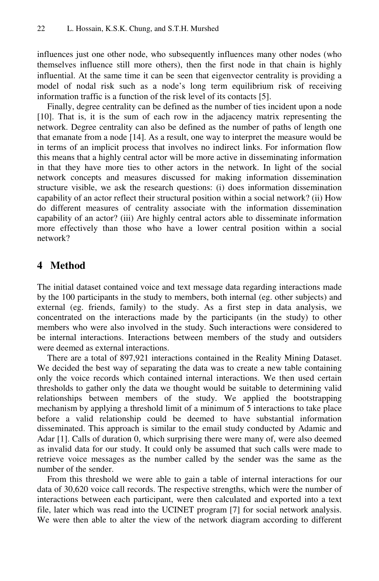influences just one other node, who subsequently influences many other nodes (who themselves influence still more others), then the first node in that chain is highly influential. At the same time it can be seen that eigenvector centrality is providing a model of nodal risk such as a node's long term equilibrium risk of receiving information traffic is a function of the risk level of its contacts [5].

Finally, degree centrality can be defined as the number of ties incident upon a node [10]. That is, it is the sum of each row in the adjacency matrix representing the network. Degree centrality can also be defined as the number of paths of length one that emanate from a node [14]. As a result, one way to interpret the measure would be in terms of an implicit process that involves no indirect links. For information flow this means that a highly central actor will be more active in disseminating information in that they have more ties to other actors in the network. In light of the social network concepts and measures discussed for making information dissemination structure visible, we ask the research questions: (i) does information dissemination capability of an actor reflect their structural position within a social network? (ii) How do different measures of centrality associate with the information dissemination capability of an actor? (iii) Are highly central actors able to disseminate information more effectively than those who have a lower central position within a social network?

#### **4 Method**

The initial dataset contained voice and text message data regarding interactions made by the 100 participants in the study to members, both internal (eg. other subjects) and external (eg. friends, family) to the study. As a first step in data analysis, we concentrated on the interactions made by the participants (in the study) to other members who were also involved in the study. Such interactions were considered to be internal interactions. Interactions between members of the study and outsiders were deemed as external interactions.

There are a total of 897,921 interactions contained in the Reality Mining Dataset. We decided the best way of separating the data was to create a new table containing only the voice records which contained internal interactions. We then used certain thresholds to gather only the data we thought would be suitable to determining valid relationships between members of the study. We applied the bootstrapping mechanism by applying a threshold limit of a minimum of 5 interactions to take place before a valid relationship could be deemed to have substantial information disseminated. This approach is similar to the email study conducted by Adamic and Adar [1]. Calls of duration 0, which surprising there were many of, were also deemed as invalid data for our study. It could only be assumed that such calls were made to retrieve voice messages as the number called by the sender was the same as the number of the sender.

From this threshold we were able to gain a table of internal interactions for our data of 30,620 voice call records. The respective strengths, which were the number of interactions between each participant, were then calculated and exported into a text file, later which was read into the UCINET program [7] for social network analysis. We were then able to alter the view of the network diagram according to different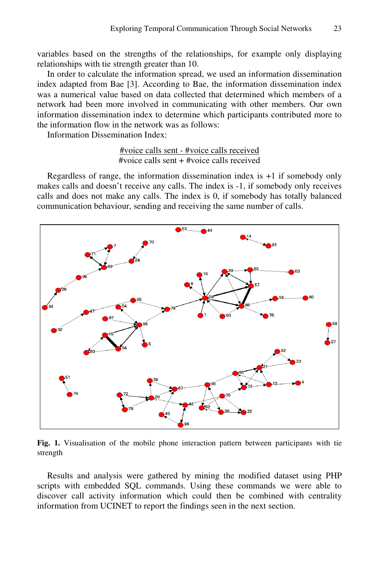variables based on the strengths of the relationships, for example only displaying relationships with tie strength greater than 10.

In order to calculate the information spread, we used an information dissemination index adapted from Bae [3]. According to Bae, the information dissemination index was a numerical value based on data collected that determined which members of a network had been more involved in communicating with other members. Our own information dissemination index to determine which participants contributed more to the information flow in the network was as follows:

Information Dissemination Index:

#voice calls sent - #voice calls received #voice calls sent + #voice calls received

Regardless of range, the information dissemination index is +1 if somebody only makes calls and doesn't receive any calls. The index is -1, if somebody only receives calls and does not make any calls. The index is 0, if somebody has totally balanced communication behaviour, sending and receiving the same number of calls.



**Fig. 1.** Visualisation of the mobile phone interaction pattern between participants with tie strength

Results and analysis were gathered by mining the modified dataset using PHP scripts with embedded SQL commands. Using these commands we were able to discover call activity information which could then be combined with centrality information from UCINET to report the findings seen in the next section.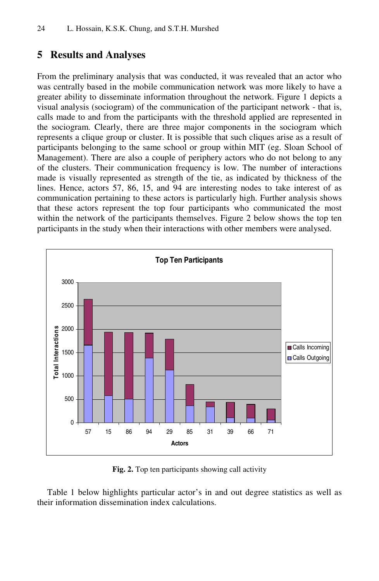## **5 Results and Analyses**

From the preliminary analysis that was conducted, it was revealed that an actor who was centrally based in the mobile communication network was more likely to have a greater ability to disseminate information throughout the network. Figure 1 depicts a visual analysis (sociogram) of the communication of the participant network - that is, calls made to and from the participants with the threshold applied are represented in the sociogram. Clearly, there are three major components in the sociogram which represents a clique group or cluster. It is possible that such cliques arise as a result of participants belonging to the same school or group within MIT (eg. Sloan School of Management). There are also a couple of periphery actors who do not belong to any of the clusters. Their communication frequency is low. The number of interactions made is visually represented as strength of the tie, as indicated by thickness of the lines. Hence, actors 57, 86, 15, and 94 are interesting nodes to take interest of as communication pertaining to these actors is particularly high. Further analysis shows that these actors represent the top four participants who communicated the most within the network of the participants themselves. Figure 2 below shows the top ten participants in the study when their interactions with other members were analysed.



**Fig. 2.** Top ten participants showing call activity

Table 1 below highlights particular actor's in and out degree statistics as well as their information dissemination index calculations.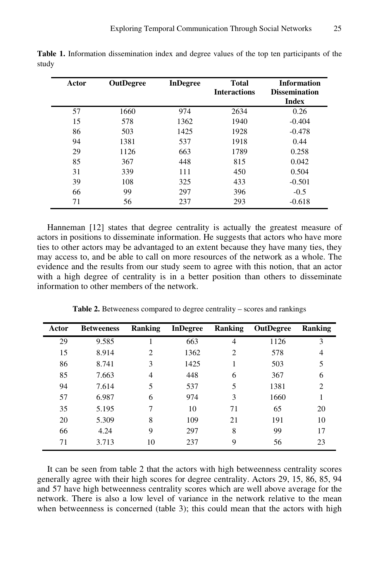| Actor | <b>OutDegree</b> | <b>InDegree</b> | <b>Total</b><br><b>Interactions</b> | <b>Information</b><br><b>Dissemination</b><br><b>Index</b> |
|-------|------------------|-----------------|-------------------------------------|------------------------------------------------------------|
| 57    | 1660             | 974             | 2634                                | 0.26                                                       |
| 15    | 578              | 1362            | 1940                                | $-0.404$                                                   |
| 86    | 503              | 1425            | 1928                                | $-0.478$                                                   |
| 94    | 1381             | 537             | 1918                                | 0.44                                                       |
| 29    | 1126             | 663             | 1789                                | 0.258                                                      |
| 85    | 367              | 448             | 815                                 | 0.042                                                      |
| 31    | 339              | 111             | 450                                 | 0.504                                                      |
| 39    | 108              | 325             | 433                                 | $-0.501$                                                   |
| 66    | 99               | 297             | 396                                 | $-0.5$                                                     |
| 71    | 56               | 237             | 293                                 | $-0.618$                                                   |

**Table 1.** Information dissemination index and degree values of the top ten participants of the study

Hanneman [12] states that degree centrality is actually the greatest measure of actors in positions to disseminate information. He suggests that actors who have more ties to other actors may be advantaged to an extent because they have many ties, they may access to, and be able to call on more resources of the network as a whole. The evidence and the results from our study seem to agree with this notion, that an actor with a high degree of centrality is in a better position than others to disseminate information to other members of the network.

| Actor | <b>Betweeness</b> | Ranking | <b>InDegree</b> | Ranking        | <b>OutDegree</b> | Ranking |
|-------|-------------------|---------|-----------------|----------------|------------------|---------|
| 29    | 9.585             |         | 663             | $\overline{4}$ | 1126             | 3       |
| 15    | 8.914             | 2       | 1362            | $\overline{c}$ | 578              | 4       |
| 86    | 8.741             | 3       | 1425            |                | 503              | 5       |
| 85    | 7.663             | 4       | 448             | 6              | 367              | 6       |
| 94    | 7.614             | 5       | 537             | 5              | 1381             | 2       |
| 57    | 6.987             | 6       | 974             | 3              | 1660             |         |
| 35    | 5.195             | 7       | 10              | 71             | 65               | 20      |
| 20    | 5.309             | 8       | 109             | 21             | 191              | 10      |
| 66    | 4.24              | 9       | 297             | 8              | 99               | 17      |
| 71    | 3.713             | 10      | 237             | 9              | 56               | 23      |

**Table 2.** Betweeness compared to degree centrality – scores and rankings

It can be seen from table 2 that the actors with high betweenness centrality scores generally agree with their high scores for degree centrality. Actors 29, 15, 86, 85, 94 and 57 have high betweenness centrality scores which are well above average for the network. There is also a low level of variance in the network relative to the mean when betweenness is concerned (table 3); this could mean that the actors with high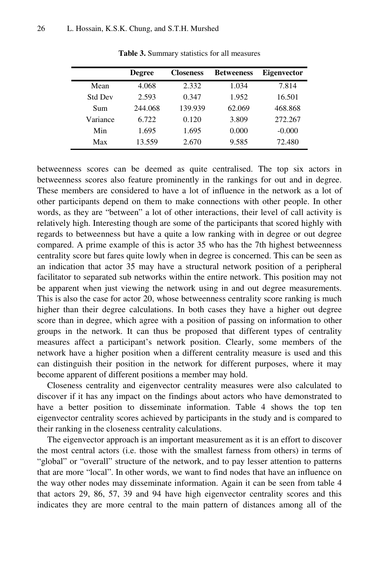|                | <b>Degree</b> | <b>Closeness</b> | <b>Betweeness</b> | <b>Eigenvector</b> |
|----------------|---------------|------------------|-------------------|--------------------|
| Mean           | 4.068         | 2.332            | 1.034             | 7.814              |
| <b>Std Dev</b> | 2.593         | 0.347            | 1.952             | 16.501             |
| Sum            | 244.068       | 139.939          | 62.069            | 468.868            |
| Variance       | 6.722         | 0.120            | 3.809             | 272.267            |
| Min            | 1.695         | 1.695            | 0.000             | $-0.000$           |
| Max            | 13.559        | 2.670            | 9.585             | 72.480             |

**Table 3.** Summary statistics for all measures

betweenness scores can be deemed as quite centralised. The top six actors in betweenness scores also feature prominently in the rankings for out and in degree. These members are considered to have a lot of influence in the network as a lot of other participants depend on them to make connections with other people. In other words, as they are "between" a lot of other interactions, their level of call activity is relatively high. Interesting though are some of the participants that scored highly with regards to betweenness but have a quite a low ranking with in degree or out degree compared. A prime example of this is actor 35 who has the 7th highest betweenness centrality score but fares quite lowly when in degree is concerned. This can be seen as an indication that actor 35 may have a structural network position of a peripheral facilitator to separated sub networks within the entire network. This position may not be apparent when just viewing the network using in and out degree measurements. This is also the case for actor 20, whose betweenness centrality score ranking is much higher than their degree calculations. In both cases they have a higher out degree score than in degree, which agree with a position of passing on information to other groups in the network. It can thus be proposed that different types of centrality measures affect a participant's network position. Clearly, some members of the network have a higher position when a different centrality measure is used and this can distinguish their position in the network for different purposes, where it may become apparent of different positions a member may hold.

Closeness centrality and eigenvector centrality measures were also calculated to discover if it has any impact on the findings about actors who have demonstrated to have a better position to disseminate information. Table 4 shows the top ten eigenvector centrality scores achieved by participants in the study and is compared to their ranking in the closeness centrality calculations.

The eigenvector approach is an important measurement as it is an effort to discover the most central actors (i.e. those with the smallest farness from others) in terms of "global" or "overall" structure of the network, and to pay lesser attention to patterns that are more "local". In other words, we want to find nodes that have an influence on the way other nodes may disseminate information. Again it can be seen from table 4 that actors 29, 86, 57, 39 and 94 have high eigenvector centrality scores and this indicates they are more central to the main pattern of distances among all of the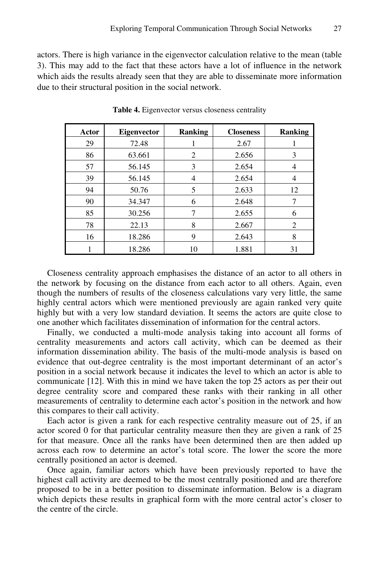actors. There is high variance in the eigenvector calculation relative to the mean (table 3). This may add to the fact that these actors have a lot of influence in the network which aids the results already seen that they are able to disseminate more information due to their structural position in the social network.

| Actor | <b>Eigenvector</b> | Ranking | <b>Closeness</b> | Ranking |
|-------|--------------------|---------|------------------|---------|
| 29    | 72.48              |         | 2.67             |         |
| 86    | 63.661             | 2       | 2.656            | 3       |
| 57    | 56.145             | 3       | 2.654            |         |
| 39    | 56.145             | 4       | 2.654            | 4       |
| 94    | 50.76              | 5       | 2.633            | 12      |
| 90    | 34.347             | 6       | 2.648            |         |
| 85    | 30.256             | 7       | 2.655            | 6       |
| 78    | 22.13              | 8       | 2.667            | 2       |
| 16    | 18.286             | 9       | 2.643            | 8       |
|       | 18.286             | 10      | 1.881            | 31      |

**Table 4.** Eigenvector versus closeness centrality

Closeness centrality approach emphasises the distance of an actor to all others in the network by focusing on the distance from each actor to all others. Again, even though the numbers of results of the closeness calculations vary very little, the same highly central actors which were mentioned previously are again ranked very quite highly but with a very low standard deviation. It seems the actors are quite close to one another which facilitates dissemination of information for the central actors.

Finally, we conducted a multi-mode analysis taking into account all forms of centrality measurements and actors call activity, which can be deemed as their information dissemination ability. The basis of the multi-mode analysis is based on evidence that out-degree centrality is the most important determinant of an actor's position in a social network because it indicates the level to which an actor is able to communicate [12]. With this in mind we have taken the top 25 actors as per their out degree centrality score and compared these ranks with their ranking in all other measurements of centrality to determine each actor's position in the network and how this compares to their call activity.

Each actor is given a rank for each respective centrality measure out of 25, if an actor scored 0 for that particular centrality measure then they are given a rank of 25 for that measure. Once all the ranks have been determined then are then added up across each row to determine an actor's total score. The lower the score the more centrally positioned an actor is deemed.

Once again, familiar actors which have been previously reported to have the highest call activity are deemed to be the most centrally positioned and are therefore proposed to be in a better position to disseminate information. Below is a diagram which depicts these results in graphical form with the more central actor's closer to the centre of the circle.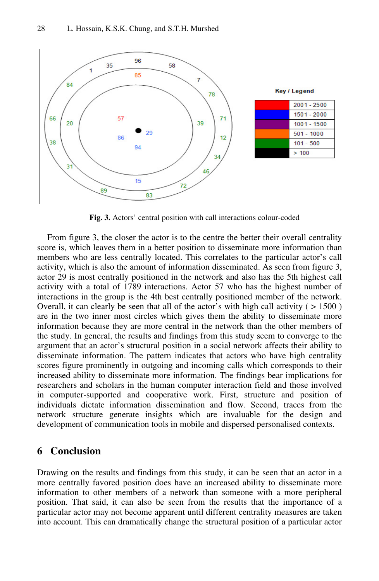

**Fig. 3.** Actors' central position with call interactions colour-coded

From figure 3, the closer the actor is to the centre the better their overall centrality score is, which leaves them in a better position to disseminate more information than members who are less centrally located. This correlates to the particular actor's call activity, which is also the amount of information disseminated. As seen from figure 3, actor 29 is most centrally positioned in the network and also has the 5th highest call activity with a total of 1789 interactions. Actor 57 who has the highest number of interactions in the group is the 4th best centrally positioned member of the network. Overall, it can clearly be seen that all of the actor's with high call activity ( $> 1500$ ) are in the two inner most circles which gives them the ability to disseminate more information because they are more central in the network than the other members of the study. In general, the results and findings from this study seem to converge to the argument that an actor's structural position in a social network affects their ability to disseminate information. The pattern indicates that actors who have high centrality scores figure prominently in outgoing and incoming calls which corresponds to their increased ability to disseminate more information. The findings bear implications for researchers and scholars in the human computer interaction field and those involved in computer-supported and cooperative work. First, structure and position of individuals dictate information dissemination and flow. Second, traces from the network structure generate insights which are invaluable for the design and development of communication tools in mobile and dispersed personalised contexts.

## **6 Conclusion**

Drawing on the results and findings from this study, it can be seen that an actor in a more centrally favored position does have an increased ability to disseminate more information to other members of a network than someone with a more peripheral position. That said, it can also be seen from the results that the importance of a particular actor may not become apparent until different centrality measures are taken into account. This can dramatically change the structural position of a particular actor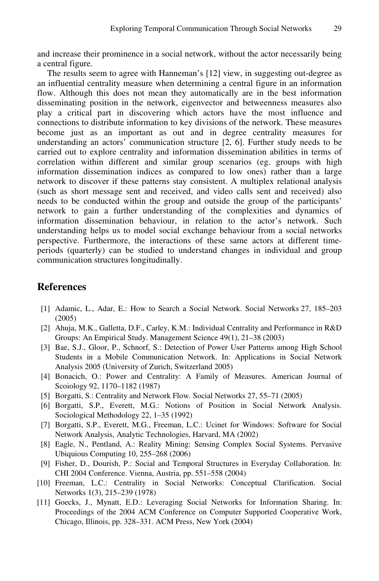and increase their prominence in a social network, without the actor necessarily being a central figure.

The results seem to agree with Hanneman's [12] view, in suggesting out-degree as an influential centrality measure when determining a central figure in an information flow. Although this does not mean they automatically are in the best information disseminating position in the network, eigenvector and betweenness measures also play a critical part in discovering which actors have the most influence and connections to distribute information to key divisions of the network. These measures become just as an important as out and in degree centrality measures for understanding an actors' communication structure [2, 6]. Further study needs to be carried out to explore centrality and information dissemination abilities in terms of correlation within different and similar group scenarios (eg. groups with high information dissemination indices as compared to low ones) rather than a large network to discover if these patterns stay consistent. A multiplex relational analysis (such as short message sent and received, and video calls sent and received) also needs to be conducted within the group and outside the group of the participants' network to gain a further understanding of the complexities and dynamics of information dissemination behaviour, in relation to the actor's network. Such understanding helps us to model social exchange behaviour from a social networks perspective. Furthermore, the interactions of these same actors at different timeperiods (quarterly) can be studied to understand changes in individual and group communication structures longitudinally.

#### **References**

- [1] Adamic, L., Adar, E.: How to Search a Social Network. Social Networks 27, 185–203 (2005)
- [2] Ahuja, M.K., Galletta, D.F., Carley, K.M.: Individual Centrality and Performance in R&D Groups: An Empirical Study. Management Science 49(1), 21–38 (2003)
- [3] Bae, S.J., Gloor, P., Schnorf, S.: Detection of Power User Patterns among High School Students in a Mobile Communication Network. In: Applications in Social Network Analysis 2005 (University of Zurich, Switzerland 2005)
- [4] Bonacich, O.: Power and Centrality: A Family of Measures. American Journal of Scoiology 92, 1170–1182 (1987)
- [5] Borgatti, S.: Centrality and Network Flow. Social Networks 27, 55–71 (2005)
- [6] Borgatti, S.P., Everett, M.G.: Notions of Position in Social Network Analysis. Sociological Methodology 22, 1–35 (1992)
- [7] Borgatti, S.P., Everett, M.G., Freeman, L.C.: Ucinet for Windows: Software for Social Network Analysis, Analytic Technologies, Harvard, MA (2002)
- [8] Eagle, N., Pentland, A.: Reality Mining: Sensing Complex Social Systems. Pervasive Ubiquious Computing 10, 255–268 (2006)
- [9] Fisher, D., Dourish, P.: Social and Temporal Structures in Everyday Collaboration. In: CHI 2004 Conference. Vienna, Austria, pp. 551–558 (2004)
- [10] Freeman, L.C.: Centrality in Social Networks: Conceptual Clarification. Social Networks 1(3), 215–239 (1978)
- [11] Goecks, J., Mynatt, E.D.: Leveraging Social Networks for Information Sharing. In: Proceedings of the 2004 ACM Conference on Computer Supported Cooperative Work, Chicago, Illinois, pp. 328–331. ACM Press, New York (2004)